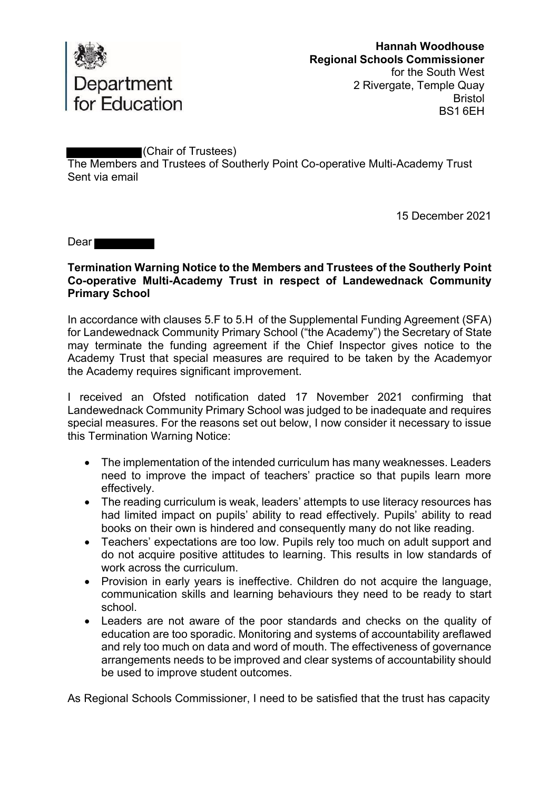

(Chair of Trustees)

The Members and Trustees of Southerly Point Co-operative Multi-Academy Trust Sent via email

15 December 2021

Dear

## **Termination Warning Notice to the Members and Trustees of the Southerly Point Co-operative Multi-Academy Trust in respect of Landewednack Community Primary School**

In accordance with clauses 5.F to 5.H of the Supplemental Funding Agreement (SFA) for Landewednack Community Primary School ("the Academy") the Secretary of State may terminate the funding agreement if the Chief Inspector gives notice to the Academy Trust that special measures are required to be taken by the Academyor the Academy requires significant improvement.

I received an Ofsted notification dated 17 November 2021 confirming that Landewednack Community Primary School was judged to be inadequate and requires special measures. For the reasons set out below, I now consider it necessary to issue this Termination Warning Notice:

- The implementation of the intended curriculum has many weaknesses. Leaders need to improve the impact of teachers' practice so that pupils learn more effectively.
- The reading curriculum is weak, leaders' attempts to use literacy resources has had limited impact on pupils' ability to read effectively. Pupils' ability to read books on their own is hindered and consequently many do not like reading.
- Teachers' expectations are too low. Pupils rely too much on adult support and do not acquire positive attitudes to learning. This results in low standards of work across the curriculum.
- Provision in early vears is ineffective. Children do not acquire the language, communication skills and learning behaviours they need to be ready to start school.
- Leaders are not aware of the poor standards and checks on the quality of education are too sporadic. Monitoring and systems of accountability areflawed and rely too much on data and word of mouth. The effectiveness of governance arrangements needs to be improved and clear systems of accountability should be used to improve student outcomes.

As Regional Schools Commissioner, I need to be satisfied that the trust has capacity